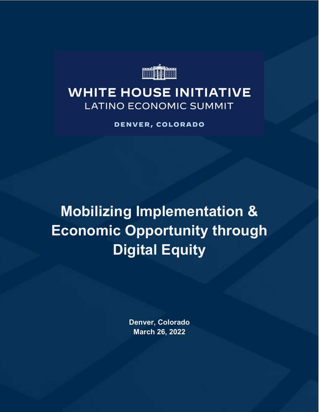

## **WHITE HOUSE INITIATIVE LATINO ECONOMIC SUMMIT**

DENVER, COLORADO

**Mobilizing Implementation & Economic Opportunity through Digital Equity**

> **Denver, Colorado March 26, 2022**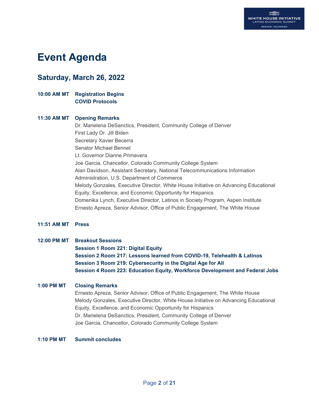## **Event Agenda**

## **Saturday, March 26, 2022**

#### **10:00 AM MT Registration Begins COVID Protocols**

#### **11:30 AM MT Opening Remarks**

Dr. Marielena DeSanctics, President, Community College of Denver First Lady Dr. Jill Biden Secretary Xavier Becerra Senator Michael Bennet Lt. Governor Dianne Primavera Joe Garcia, Chancellor, Colorado Community College System Alan Davidson, Assistant Secretary, National Telecommunications Information Administration, U.S. Department of Commerce Melody Gonzales, Executive Director, White House Initiative on Advancing Educational Equity, Excellence, and Economic Opportunity for Hispanics Domenika Lynch, Executive Director, Latinos in Society Program, Aspen Institute Ernesto Apreza, Senior Advisor, Office of Public Engagement, The White House

#### **11:51 AM MT Press**

#### **12:00 PM MT Breakout Sessions**

**Session 1 Room 221: Digital Equity Session 2 Room 217: Lessons learned from COVID-19, Telehealth & Latinos Session 3 Room 219: Cybersecurity in the Digital Age for All Session 4 Room 223: Education Equity, Workforce Development and Federal Jobs**

#### **1:00 PM MT Closing Remarks**

Ernesto Apreza, Senior Advisor, Office of Public Engagement, The White House Melody Gonzales, Executive Director, White House Initiative on Advancing Educational Equity, Excellence, and Economic Opportunity for Hispanics Dr. Marielena DeSanctics, President, Community College of Denver Joe Garcia, Chancellor, Colorado Community College System

#### **1:10 PM MT Summit concludes**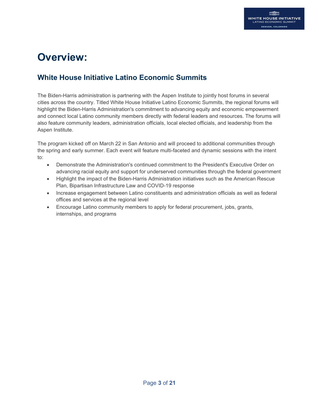## **Overview:**

## **White House Initiative Latino Economic Summits**

The Biden-Harris administration is partnering with the Aspen Institute to jointly host forums in several cities across the country. Titled White House Initiative Latino Economic Summits, the regional forums will highlight the Biden-Harris Administration's commitment to advancing equity and economic empowerment and connect local Latino community members directly with federal leaders and resources. The forums will also feature community leaders, administration officials, local elected officials, and leadership from the Aspen Institute.

The program kicked off on March 22 in San Antonio and will proceed to additional communities through the spring and early summer. Each event will feature multi-faceted and dynamic sessions with the intent to:

- Demonstrate the Administration's continued commitment to the President's Executive Order on advancing racial equity and support for underserved communities through the federal government
- Highlight the impact of the Biden-Harris Administration initiatives such as the American Rescue Plan, Bipartisan Infrastructure Law and COVID-19 response
- Increase engagement between Latino constituents and administration officials as well as federal offices and services at the regional level
- Encourage Latino community members to apply for federal procurement, jobs, grants, internships, and programs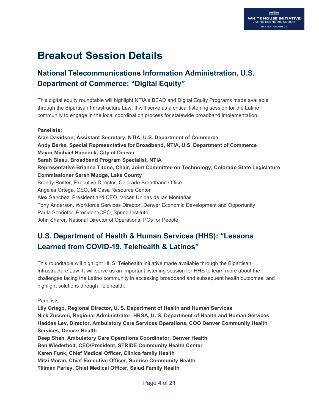## **Breakout Session Details**

## **National Telecommunications Information Administration, U.S. Department of Commerce: "Digital Equity"**

This digital equity roundtable will highlight NTIA's BEAD and Digital Equity Programs made available through the Bipartisan Infrastructure Law. It will serve as a critical listening session for the Latino community to engage in the local coordination process for statewide broadband implementation.

#### **Panelists:**

**Alan Davidson, Assistant Secretary, NTIA, U.S. Department of Commerce Andy Berke, Special Representative for Broadband, NTIA, U.S. Department of Commerce Mayor Michael Hancock, City of Denver Sarah Bleau, Broadband Program Specialist, NTIA Representative Brianna Titone, Chair, Joint Committee on Technology, Colorado State Legislature Commissioner Sarah Mudge, Lake County**  Brandy Reitter, Executive Director, Colorado Broadband Office Angeles Ortega, CEO, Mi Casa Resource Center Alex Sanchez, President and CEO, Voces Unidas de las Montañas Tony Anderson, Workforce Services Director, Denver Economic Development and Opportunity Paula Schriefer, President/CEO, Spring Institute John Sharer, National Director of Operations, PCs for People

## **U.S. Department of Health & Human Services (HHS): "Lessons Learned from COVID-19, Telehealth & Latinos"**

This roundtable will highlight HHS' Telehealth initiative made available through the Bipartisan Infrastructure Law. It will serve as an important listening session for HHS to learn more about the challenges facing the Latino community in accessing broadband and subsequent health outcomes; and highlight solutions through Telehealth.

Panelists:

**Lily Griego, Regional Director, U. S. Department of Health and Human Services Nick Zucconi, Regional Administrator, HRSA, U. S. Department of Health and Human Services Haddas Lev, Director, Ambulatory Care Services Operations, COO Denver Community Health Services, Denver Health Deep Shah, Ambulatory Care Operations Coordinator, Denver Health Ben Wiederholt, CEO/President, STRIDE Community Health Center Karen Funk, Chief Medical Officer, Clinica family Health Mitzi Moran, Chief Executive Officer, Sunrise Community Health Tillman Farley, Chief Medical Officer, Salud Family Health**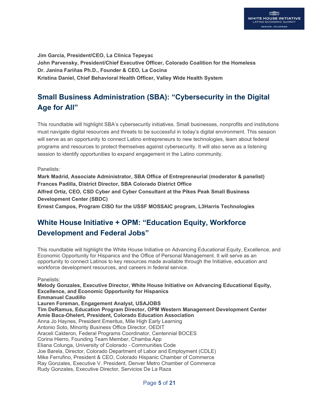**Jim Garcia, President/CEO, La Clínica Tepeyac John Parvensky, President/Chief Executive Officer, Colorado Coalition for the Homeless Dr. Janina Fariñas Ph.D., Founder & CEO, La Cocina Kristina Daniel, Chief Behavioral Health Officer, Valley Wide Health System**

## **Small Business Administration (SBA): "Cybersecurity in the Digital Age for All"**

This roundtable will highlight SBA's cybersecurity initiatives. Small businesses, nonprofits and institutions must navigate digital resources and threats to be successful in today's digital environment. This session will serve as an opportunity to connect Latino entrepreneurs to new technologies, learn about federal programs and resources to protect themselves against cybersecurity. It will also serve as a listening session to identify opportunities to expand engagement in the Latino community.

Panelists:

**Mark Madrid, Associate Administrator, SBA Office of Entrepreneurial (moderator & panelist) Frances Padilla, District Director, SBA Colorado District Office Alfred Ortiz, CEO, CSD Cyber and Cyber Consultant at the Pikes Peak Small Business Development Center (SBDC)**

**Ernest Campos, Program CISO for the USSF MOSSAIC program, L3Harris Technologies**

## **White House Initiative + OPM: "Education Equity, Workforce Development and Federal Jobs"**

This roundtable will highlight the White House Initiative on Advancing Educational Equity, Excellence, and Economic Opportunity for Hispanics and the Office of Personal Management. It will serve as an opportunity to connect Latinos to key resources made available through the Initiative, education and workforce development resources, and careers in federal service.

Panelists:

**Melody Gonzales, Executive Director, White House Initiative on Advancing Educational Equity, Excellence, and Economic Opportunity for Hispanics Emmanuel Caudillo Lauren Foreman, Engagement Analyst, USAJOBS Tim DeRamus, Education Program Director, OPM Western Management Development Center Amie Baca-Ohelert, President, Colorado Education Association** Anna Jo Haynes, President Emeritus, Mile High Early Learning Antonio Soto, Minority Business Office Director, OEDIT Araceli Calderon, Federal Programs Coordinator, Centennial BOCES Corina Hierro, Founding Team Member, Chamba App Eliana Colunga, University of Colorado - Communities Code Joe Barela, Director, Colorado Department of Labor and Employment (CDLE) Mike Ferrufino, President & CEO, Colorado Hispanic Chamber of Commerce Ray Gonzales, Executive V. President, Denver Metro Chamber of Commerce Rudy Gonzales, Executive Director, Servicios De La Raza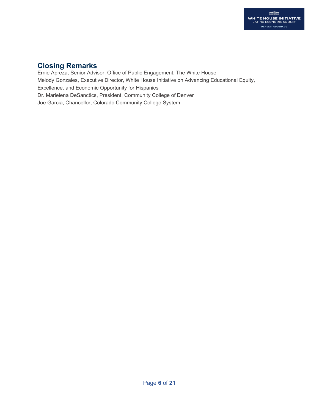## **Closing Remarks**

Ernie Apreza, Senior Advisor, Office of Public Engagement, The White House Melody Gonzales, Executive Director, White House Initiative on Advancing Educational Equity, Excellence, and Economic Opportunity for Hispanics Dr. Marielena DeSanctics, President, Community College of Denver Joe Garcia, Chancellor, Colorado Community College System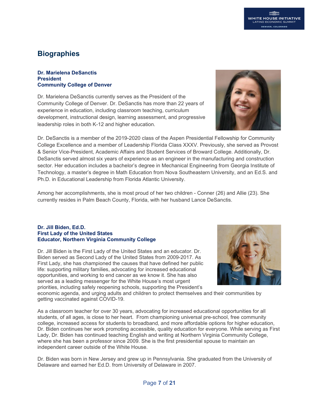## **Biographies**

#### **Dr. Marielena DeSanctis President Community College of Denver**

Dr. Marielena DeSanctis currently serves as the President of the Community College of Denver. Dr. DeSanctis has more than 22 years of experience in education, including classroom teaching, curriculum development, instructional design, learning assessment, and progressive leadership roles in both K-12 and higher education.



Dr. DeSanctis is a member of the 2019-2020 class of the Aspen Presidential Fellowship for Community College Excellence and a member of Leadership Florida Class XXXV. Previously, she served as Provost & Senior Vice-President, Academic Affairs and Student Services of Broward College. Additionally, Dr. DeSanctis served almost six years of experience as an engineer in the manufacturing and construction sector. Her education includes a bachelor's degree in Mechanical Engineering from Georgia Institute of Technology, a master's degree in Math Education from Nova Southeastern University, and an Ed.S. and Ph.D. in Educational Leadership from Florida Atlantic University.

Among her accomplishments, she is most proud of her two children - Conner (26) and Allie (23). She currently resides in Palm Beach County, Florida, with her husband Lance DeSanctis.

#### **Dr. Jill Biden, Ed.D. First Lady of the United States Educator, Northern Virginia Community College**

Dr. Jill Biden is the First Lady of the United States and an educator. Dr. Biden served as Second Lady of the United States from 2009-2017. As First Lady, she has championed the causes that have defined her public life: supporting military families, advocating for increased educational opportunities, and working to end cancer as we know it. She has also served as a leading messenger for the White House's most urgent priorities, including safely reopening schools, supporting the President's



economic agenda, and urging adults and children to protect themselves and their communities by getting vaccinated against COVID-19.

As a classroom teacher for over 30 years, advocating for increased educational opportunities for all students, of all ages, is close to her heart. From championing universal pre-school, free community college, increased access for students to broadband, and more affordable options for higher education, Dr. Biden continues her work promoting accessible, quality education for everyone. While serving as First Lady, Dr. Biden has continued teaching English and writing at Northern Virginia Community College, where she has been a professor since 2009. She is the first presidential spouse to maintain an independent career outside of the White House.

Dr. Biden was born in New Jersey and grew up in Pennsylvania. She graduated from the University of Delaware and earned her Ed.D. from University of Delaware in 2007.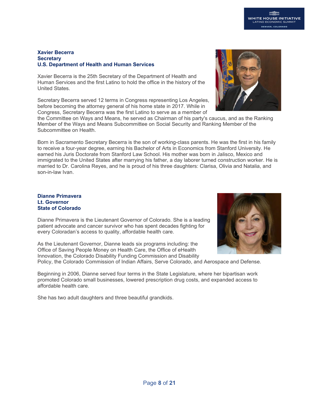#### **Xavier Becerra Secretary U.S. Department of Health and Human Services**

Xavier Becerra is the 25th Secretary of the Department of Health and Human Services and the first Latino to hold the office in the history of the United States.

Secretary Becerra served 12 terms in Congress representing Los Angeles, before becoming the attorney general of his home state in 2017. While in Congress, Secretary Becerra was the first Latino to serve as a member of

the Committee on Ways and Means, he served as Chairman of his party's caucus, and as the Ranking Member of the Ways and Means Subcommittee on Social Security and Ranking Member of the Subcommittee on Health.

Born in Sacramento Secretary Becerra is the son of working-class parents. He was the first in his family to receive a four-year degree, earning his Bachelor of Arts in Economics from Stanford University. He earned his Juris Doctorate from Stanford Law School. His mother was born in Jalisco, Mexico and immigrated to the United States after marrying his father, a day laborer turned construction worker. He is married to Dr. Carolina Reyes, and he is proud of his three daughters: Clarisa, Olivia and Natalia, and son-in-law Ivan.

#### **Dianne Primavera Lt. Governor State of Colorado**

Dianne Primavera is the Lieutenant Governor of Colorado. She is a leading patient advocate and cancer survivor who has spent decades fighting for every Coloradan's access to quality, affordable health care.

As the Lieutenant Governor, Dianne leads six programs including: the Office of Saving People Money on Health Care, the Office of eHealth Innovation, the Colorado Disability Funding Commission and Disability

Policy, the Colorado Commission of Indian Affairs, Serve Colorado, and Aerospace and Defense.

Beginning in 2006, Dianne served four terms in the State Legislature, where her bipartisan work promoted Colorado small businesses, lowered prescription drug costs, and expanded access to affordable health care.

She has two adult daughters and three beautiful grandkids.





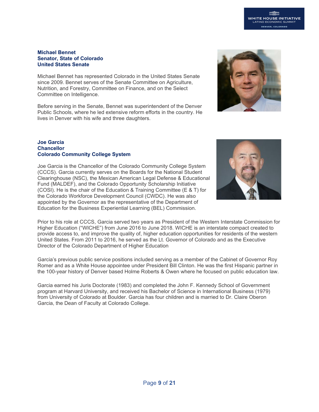## **WHITE HOUSE INITIATIVE** DENVER, COLORADO

#### **Michael Bennet Senator, State of Colorado United States Senate**

Michael Bennet has represented Colorado in the United States Senate since 2009. Bennet serves of the Senate Committee on Agriculture, Nutrition, and Forestry, Committee on Finance, and on the Select Committee on Intelligence.

Before serving in the Senate, Bennet was superintendent of the Denver Public Schools, where he led extensive reform efforts in the country. He lives in Denver with his wife and three daughters.

#### **Joe Garcia Chancellor Colorado Community College System**

Joe Garcia is the Chancellor of the Colorado Community College System (CCCS). Garcia currently serves on the Boards for the National Student Clearinghouse (NSC), the Mexican American Legal Defense & Educational Fund (MALDEF), and the Colorado Opportunity Scholarship Initiative (COSI). He is the chair of the Education & Training Committee (E & T) for the Colorado Workforce Development Council (CWDC). He was also appointed by the Governor as the representative of the Department of Education for the Business Experiential Learning (BEL) Commission.

Prior to his role at CCCS, Garcia served two years as President of the Western Interstate Commission for Higher Education ("WICHE") from June 2016 to June 2018. WICHE is an interstate compact created to provide access to, and improve the quality of, higher education opportunities for residents of the western United States. From 2011 to 2016, he served as the Lt. Governor of Colorado and as the Executive Director of the Colorado Department of Higher Education

Garcia's previous public service positions included serving as a member of the Cabinet of Governor Roy Romer and as a White House appointee under President Bill Clinton. He was the first Hispanic partner in the 100-year history of Denver based Holme Roberts & Owen where he focused on public education law.

Garcia earned his Juris Doctorate (1983) and completed the John F. Kennedy School of Government program at Harvard University, and received his Bachelor of Science in International Business (1979) from University of Colorado at Boulder. Garcia has four children and is married to Dr. Claire Oberon Garcia, the Dean of Faculty at Colorado College.



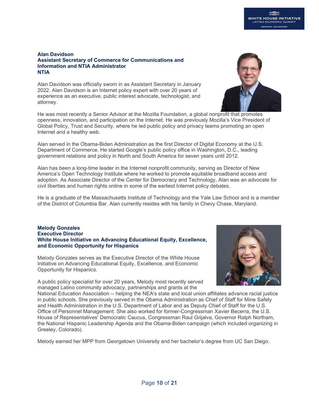#### **Alan Davidson Assistant Secretary of Commerce for Communications and Information and NTIA Administrator NTIA**

Alan Davidson was officially sworn in as Assistant Secretary in January 2022. Alan Davidson is an Internet policy expert with over 20 years of experience as an executive, public interest advocate, technologist, and attorney.

He was most recently a Senior Advisor at the Mozilla Foundation, a global nonprofit that promotes openness, innovation, and participation on the Internet. He was previously Mozilla's Vice President of Global Policy, Trust and Security, where he led public policy and privacy teams promoting an open Internet and a healthy web.

Alan served in the Obama-Biden Administration as the first Director of Digital Economy at the U.S. Department of Commerce. He started Google's public policy office in Washington, D.C., leading government relations and policy in North and South America for seven years until 2012.

Alan has been a long-time leader in the Internet nonprofit community, serving as Director of New America's Open Technology Institute where he worked to promote equitable broadband access and adoption. As Associate Director of the Center for Democracy and Technology, Alan was an advocate for civil liberties and human rights online in some of the earliest Internet policy debates.

He is a graduate of the Massachusetts Institute of Technology and the Yale Law School and is a member of the District of Columbia Bar. Alan currently resides with his family in Chevy Chase, Maryland.

#### **Melody Gonzales Executive Director White House Initiative on Advancing Educational Equity, Excellence, and Economic Opportunity for Hispanics**

Melody Gonzales serves as the Executive Director of the White House Initiative on Advancing Educational Equity, Excellence, and Economic Opportunity for Hispanics.

A public policy specialist for over 20 years, Melody most recently served managed Latino community advocacy, partnerships and grants at the

National Education Association -- helping the NEA's state and local union affiliates advance racial justice in public schools. She previously served in the Obama Administration as Chief of Staff for Mine Safety and Health Administration in the U.S. Department of Labor and as Deputy Chief of Staff for the U.S. Office of Personnel Management. She also worked for former-Congressman Xavier Becerra, the U.S. House of Representatives' Democratic Caucus, Congressman Raul Grijalva, Governor Ralph Northam, the National Hispanic Leadership Agenda and the Obama-Biden campaign (which included organizing in Greeley, Colorado).

Melody earned her MPP from Georgetown University and her bachelor's degree from UC San Diego.



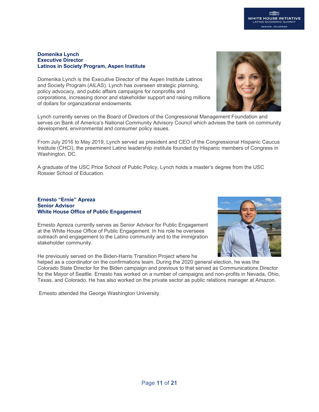#### **Domenika Lynch Executive Director Latinos in Society Program, Aspen Institute**

Domenika Lynch is the Executive Director of the Aspen Institute Latinos and Society Program (AILAS). Lynch has overseen strategic planning, policy advocacy, and public affairs campaigns for nonprofits and corporations, increasing donor and stakeholder support and raising millions of dollars for organizational endowments.

Lynch currently serves on the Board of Directors of the Congressional Management Foundation and serves on Bank of America's National Community Advisory Council which advises the bank on community development, environmental and consumer policy issues.

From July 2016 to May 2019, Lynch served as president and CEO of the Congressional Hispanic Caucus Institute (CHCI), the preeminent Latino leadership institute founded by Hispanic members of Congress in Washington, DC.

A graduate of the USC Price School of Public Policy, Lynch holds a master's degree from the USC Rossier School of Education.

#### **Ernesto "Ernie" Apreza Senior Advisor White House Office of Public Engagement**

Ernesto Apreza currently serves as Senior Advisor for Public Engagement at the White House Office of Public Engagement. In his role he oversees outreach and engagement to the Latino community and to the immigration stakeholder community.

He previously served on the Biden-Harris Transition Project where he

helped as a coordinator on the confirmations team. During the 2020 general election, he was the Colorado State Director for the Biden campaign and previous to that served as Communications Director for the Mayor of Seattle. Ernesto has worked on a number of campaigns and non-profits in Nevada, Ohio, Texas, and Colorado. He has also worked on the private sector as public relations manager at Amazon.

Ernesto attended the George Washington University.



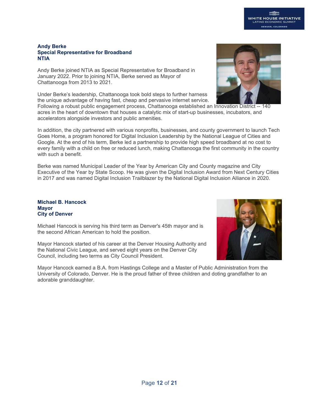#### **Andy Berke Special Representative for Broadband NTIA**

Andy Berke joined NTIA as Special Representative for Broadband in January 2022. Prior to joining NTIA, Berke served as Mayor of Chattanooga from 2013 to 2021.

Under Berke's leadership, Chattanooga took bold steps to further harness the unique advantage of having fast, cheap and pervasive internet service.

Following a robust public engagement process, Chattanooga established an Innovation District -- 140 acres in the heart of downtown that houses a catalytic mix of start-up businesses, incubators, and accelerators alongside investors and public amenities.

In addition, the city partnered with various nonprofits, businesses, and county government to launch Tech Goes Home, a program honored for Digital Inclusion Leadership by the National League of Cities and Google. At the end of his term, Berke led a partnership to provide high speed broadband at no cost to every family with a child on free or reduced lunch, making Chattanooga the first community in the country with such a benefit.

Berke was named Municipal Leader of the Year by American City and County magazine and City Executive of the Year by State Scoop. He was given the Digital Inclusion Award from Next Century Cities in 2017 and was named Digital Inclusion Trailblazer by the National Digital Inclusion Alliance in 2020.

#### **Michael B. Hancock Mayor City of Denver**

Michael Hancock is serving his third term as Denver's 45th mayor and is the second African American to hold the position.

Mayor Hancock started of his career at the Denver Housing Authority and the National Civic League, and served eight years on the Denver City Council, including two terms as City Council President.

Mayor Hancock earned a B.A. from Hastings College and a Master of Public Administration from the University of Colorado, Denver. He is the proud father of three children and doting grandfather to an adorable granddaughter.



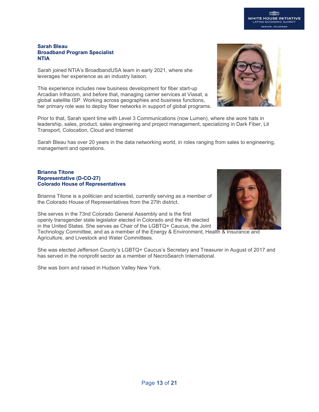#### **Sarah Bleau Broadband Program Specialist NTIA**

Sarah joined NTIA's BroadbandUSA team in early 2021, where she leverages her experience as an industry liaison.

This experience includes new business development for fiber start-up Arcadian Infracom, and before that, managing carrier services at Viasat, a global satellite ISP. Working across geographies and business functions, her primary role was to deploy fiber networks in support of global programs.

Prior to that, Sarah spent time with Level 3 Communications (now Lumen), where she wore hats in leadership, sales, product, sales engineering and project management, specializing in Dark Fiber, Lit Transport, Colocation, Cloud and Internet

Sarah Bleau has over 20 years in the data networking world, in roles ranging from sales to engineering, management and operations.

#### **Brianna Titone Representative (D-CO-27) Colorado House of Representatives**

Brianna Titone is a politician and scientist, currently serving as a member of the Colorado House of Representatives from the 27th district.

She serves in the 73nd Colorado General Assembly and is the first openly transgender state legislator elected in Colorado and the 4th elected in the United States. She serves as Chair of the LGBTQ+ Caucus, the Joint

Technology Committee, and as a member of the Energy & Environment, Health & Insurance and Agriculture, and Livestock and Water Committees.

She was elected Jefferson County's LGBTQ+ Caucus's Secretary and Treasurer in August of 2017 and has served in the nonprofit sector as a member of NecroSearch International.

She was born and raised in Hudson Valley New York.



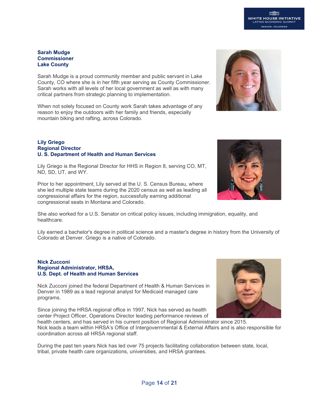# **Commissioner**

**Sarah Mudge**

**Lake County** 

Sarah Mudge is a proud community member and public servant in Lake County, CO where she is in her fifth year serving as County Commissioner. Sarah works with all levels of her local government as well as with many critical partners from strategic planning to implementation.

When not solely focused on County work Sarah takes advantage of any reason to enjoy the outdoors with her family and friends, especially mountain biking and rafting, across Colorado.

#### **Lily Griego Regional Director U. S. Department of Health and Human Services**

Lily Griego is the Regional Director for HHS in Region 8, serving CO, MT, ND, SD, UT, and WY.

Prior to her appointment, Lily served at the U. S. Census Bureau, where she led multiple state teams during the 2020 census as well as leading all congressional affairs for the region, successfully earning additional congressional seats in Montana and Colorado.

She also worked for a U.S. Senator on critical policy issues, including immigration, equality, and healthcare.

Lily earned a bachelor's degree in political science and a master's degree in history from the University of Colorado at Denver. Griego is a native of Colorado.

#### **Nick Zucconi Regional Administrator, HRSA, U.S. Dept. of Health and Human Services**

Nick Zucconi joined the federal Department of Health & Human Services in Denver in 1989 as a lead regional analyst for Medicaid managed care programs.

Since joining the HRSA regional office in 1997, Nick has served as health center Project Officer, Operations Director leading performance reviews of

health centers, and has served in his current position of Regional Administrator since 2015. Nick leads a team within HRSA's Office of Intergovernmental & External Affairs and is also responsible for coordination across all HRSA regional staff.

During the past ten years Nick has led over 75 projects facilitating collaboration between state, local, tribal, private health care organizations, universities, and HRSA grantees.



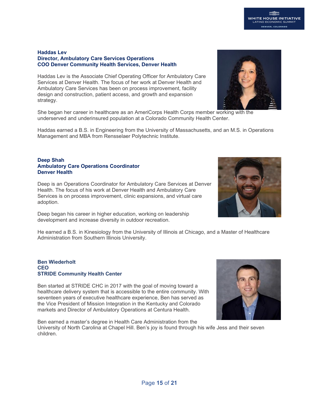#### **WHITE HOUSE INITIATIVE VO ECONOMIC !** DENVER, COLORADO

#### **Haddas Lev Director, Ambulatory Care Services Operations COO Denver Community Health Services, Denver Health**

Haddas Lev is the Associate Chief Operating Officer for Ambulatory Care Services at Denver Health. The focus of her work at Denver Health and Ambulatory Care Services has been on process improvement, facility design and construction, patient access, and growth and expansion strategy.

She began her career in healthcare as an AmeriCorps Health Corps member working with the underserved and underinsured population at a Colorado Community Health Center.

Haddas earned a B.S. in Engineering from the University of Massachusetts, and an M.S. in Operations Management and MBA from Rensselaer Polytechnic Institute.

#### **Deep Shah Ambulatory Care Operations Coordinator Denver Health**

Deep is an Operations Coordinator for Ambulatory Care Services at Denver Health. The focus of his work at Denver Health and Ambulatory Care Services is on process improvement, clinic expansions, and virtual care adoption.

Deep began his career in higher education, working on leadership development and increase diversity in outdoor recreation.

He earned a B.S. in Kinesiology from the University of Illinois at Chicago, and a Master of Healthcare Administration from Southern Illinois University.

#### **Ben Wiederholt CEO STRIDE Community Health Center**

Ben started at STRIDE CHC in 2017 with the goal of moving toward a healthcare delivery system that is accessible to the entire community. With seventeen years of executive healthcare experience, Ben has served as the Vice President of Mission Integration in the Kentucky and Colorado markets and Director of Ambulatory Operations at Centura Health.

Ben earned a master's degree in Health Care Administration from the University of North Carolina at Chapel Hill. Ben's joy is found through his wife Jess and their seven children.





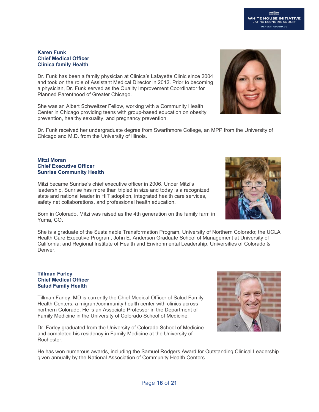#### **Karen Funk Chief Medical Officer Clinica family Health**

Dr. Funk has been a family physician at Clinica's Lafayette Clinic since 2004 and took on the role of Assistant Medical Director in 2012. Prior to becoming a physician, Dr. Funk served as the Quality Improvement Coordinator for Planned Parenthood of Greater Chicago.

She was an Albert Schweitzer Fellow, working with a Community Health Center in Chicago providing teens with group-based education on obesity prevention, healthy sexuality, and pregnancy prevention.

Dr. Funk received her undergraduate degree from Swarthmore College, an MPP from the University of Chicago and M.D. from the University of Illinois.

#### **Mitzi Moran Chief Executive Officer Sunrise Community Health**

Mitzi became Sunrise's chief executive officer in 2006. Under Mitzi's leadership, Sunrise has more than tripled in size and today is a recognized state and national leader in HIT adoption, integrated health care services, safety net collaborations, and professional health education.

Born in Colorado, Mitzi was raised as the 4th generation on the family farm in Yuma, CO.

She is a graduate of the Sustainable Transformation Program, University of Northern Colorado; the UCLA Health Care Executive Program, John E. Anderson Graduate School of Management at University of California; and Regional Institute of Health and Environmental Leadership, Universities of Colorado & Denver.

#### **Tillman Farley Chief Medical Officer Salud Family Health**

Tillman Farley, MD is currently the Chief Medical Officer of Salud Family Health Centers, a migrant/community health center with clinics across northern Colorado. He is an Associate Professor in the Department of Family Medicine in the University of Colorado School of Medicine.

Dr. Farley graduated from the University of Colorado School of Medicine and completed his residency in Family Medicine at the University of Rochester.

He has won numerous awards, including the Samuel Rodgers Award for Outstanding Clinical Leadership given annually by the National Association of Community Health Centers.





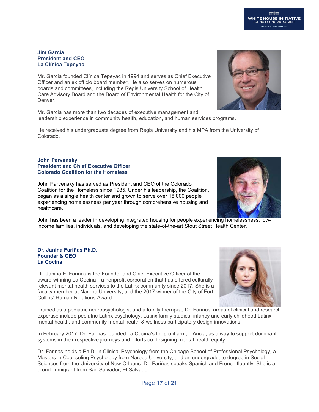#### **Jim Garcia President and CEO La Clínica Tepeyac**

Mr. Garcia founded Clínica Tepeyac in 1994 and serves as Chief Executive Officer and an ex officio board member. He also serves on numerous boards and committees, including the Regis University School of Health Care Advisory Board and the Board of Environmental Health for the City of Denver.

Mr. Garcia has more than two decades of executive management and leadership experience in community health, education, and human services programs.

He received his undergraduate degree from Regis University and his MPA from the University of Colorado.

#### **John Parvensky President and Chief Executive Officer Colorado Coalition for the Homeless**

John Parvensky has served as President and CEO of the Colorado Coalition for the Homeless since 1985. Under his leadership, the Coalition, began as a single health center and grown to serve over 18,000 people experiencing homelessness per year through comprehensive housing and healthcare.

John has been a leader in developing integrated housing for people experiencing homelessness, lowincome families, individuals, and developing the state-of-the-art Stout Street Health Center.

#### **Dr. Janina Fariñas Ph.D. Founder & CEO La Cocina**

Dr. Janina E. Fariñas is the Founder and Chief Executive Officer of the award-winning La Cocina—a nonprofit corporation that has offered culturally relevant mental health services to the Latinx community since 2017. She is a faculty member at Naropa University, and the 2017 winner of the City of Fort Collins' Human Relations Award.

Trained as a pediatric neuropsychologist and a family therapist, Dr. Fariñas' areas of clinical and research expertise include pediatric Latinx psychology, Latinx family studies, infancy and early childhood Latinx mental health, and community mental health & wellness participatory design innovations.

In February 2017, Dr. Fariñas founded La Cocina's for profit arm, L'Ancla, as a way to support dominant systems in their respective journeys and efforts co-designing mental health equity.

Dr. Fariñas holds a Ph.D. in Clinical Psychology from the Chicago School of Professional Psychology, a Masters in Counseling Psychology from Naropa University, and an undergraduate degree in Social Sciences from the University of New Orleans. Dr. Fariñas speaks Spanish and French fluently. She is a proud immigrant from San Salvador, El Salvador.





**WHITE HOUSE INITIATIVE** 

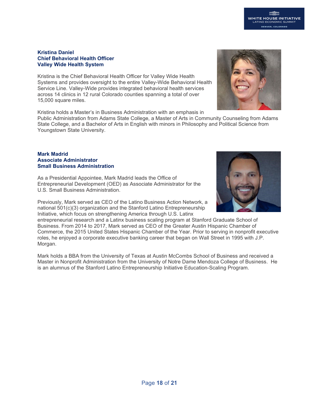### **WHITE HOUSE INITIATIVE** INO ECONOMIC : DENVER, COLORADO

#### **Kristina Daniel Chief Behavioral Health Officer Valley Wide Health System**

Kristina is the Chief Behavioral Health Officer for Valley Wide Health Systems and provides oversight to the entire Valley-Wide Behavioral Health Service Line. Valley-Wide provides integrated behavioral health services across 14 clinics in 12 rural Colorado counties spanning a total of over 15,000 square miles.

Kristina holds a Master's in Business Administration with an emphasis in

Public Administration from Adams State College, a Master of Arts in Community Counseling from Adams State College, and a Bachelor of Arts in English with minors in Philosophy and Political Science from Youngstown State University.

#### **Mark Madrid Associate Administrator Small Business Administration**

As a Presidential Appointee, Mark Madrid leads the Office of Entrepreneurial Development (OED) as Associate Administrator for the U.S. Small Business Administration.

Previously, Mark served as CEO of the Latino Business Action Network, a national 501(c)(3) organization and the Stanford Latino Entrepreneurship Initiative, which focus on strengthening America through U.S. Latinx

entrepreneurial research and a Latinx business scaling program at Stanford Graduate School of Business. From 2014 to 2017, Mark served as CEO of the Greater Austin Hispanic Chamber of Commerce, the 2015 United States Hispanic Chamber of the Year. Prior to serving in nonprofit executive roles, he enjoyed a corporate executive banking career that began on Wall Street in 1995 with J.P. Morgan.

Mark holds a BBA from the University of Texas at Austin McCombs School of Business and received a Master in Nonprofit Administration from the University of Notre Dame Mendoza College of Business. He is an alumnus of the Stanford Latino Entrepreneurship Initiative Education-Scaling Program.



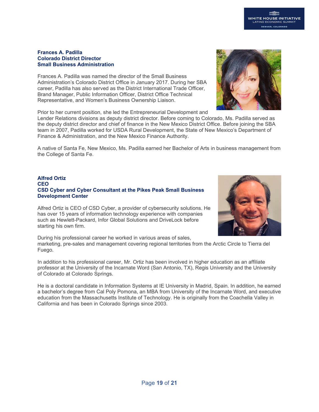#### **Frances A. Padilla Colorado District Director Small Business Administration**

Frances A. Padilla was named the director of the Small Business Administration's Colorado District Office in January 2017. During her SBA career, Padilla has also served as the District International Trade Officer, Brand Manager, Public Information Officer, District Office Technical Representative, and Women's Business Ownership Liaison.

Prior to her current position, she led the Entrepreneurial Development and

Lender Relations divisions as deputy district director. Before coming to Colorado, Ms. Padilla served as the deputy district director and chief of finance in the New Mexico District Office. Before joining the SBA team in 2007, Padilla worked for USDA Rural Development, the State of New Mexico's Department of Finance & Administration, and the New Mexico Finance Authority.

A native of Santa Fe, New Mexico, Ms. Padilla earned her Bachelor of Arts in business management from the College of Santa Fe.

#### **Alfred Ortiz CEO CSD Cyber and Cyber Consultant at the Pikes Peak Small Business Development Center**

Alfred Ortiz is CEO of CSD Cyber, a provider of cybersecurity solutions. He has over 15 years of information technology experience with companies such as Hewlett-Packard, Infor Global Solutions and DriveLock before starting his own firm.

During his professional career he worked in various areas of sales, marketing, pre-sales and management covering regional territories from the Arctic Circle to Tierra del Fuego.

In addition to his professional career, Mr. Ortiz has been involved in higher education as an affiliate professor at the University of the Incarnate Word (San Antonio, TX), Regis University and the University of Colorado at Colorado Springs.

He is a doctoral candidate in Information Systems at IE University in Madrid, Spain. In addition, he earned a bachelor's degree from Cal Poly Pomona, an MBA from University of the Incarnate Word, and executive education from the Massachusetts Institute of Technology. He is originally from the Coachella Valley in California and has been in Colorado Springs since 2003.



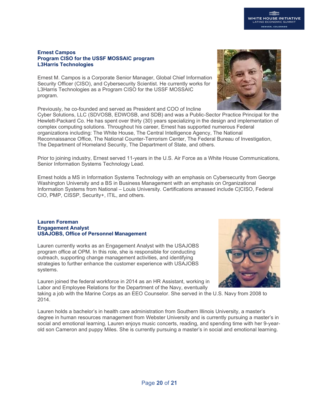#### **Ernest Campos Program CISO for the USSF MOSSAIC program L3Harris Technologies**

Ernest M. Campos is a Corporate Senior Manager, Global Chief Information Security Officer (CISO), and Cybersecurity Scientist. He currently works for L3Harris Technologies as a Program CISO for the USSF MOSSAIC program.

Previously, he co-founded and served as President and COO of Incline

Cyber Solutions, LLC (SDVOSB, EDWOSB, and SDB) and was a Public-Sector Practice Principal for the Hewlett-Packard Co. He has spent over thirty (30) years specializing in the design and implementation of complex computing solutions. Throughout his career, Ernest has supported numerous Federal organizations including: The White House, The Central Intelligence Agency, The National Reconnaissance Office, The National Counter-Terrorism Center, The Federal Bureau of Investigation, The Department of Homeland Security, The Department of State, and others.

Prior to joining industry, Ernest served 11-years in the U.S. Air Force as a White House Communications, Senior Information Systems Technology Lead.

Ernest holds a MS in Information Systems Technology with an emphasis on Cybersecurity from George Washington University and a BS in Business Management with an emphasis on Organizational Information Systems from National – Louis University. Certifications amassed include C|CISO, Federal CIO, PMP, CISSP, Security+, ITIL, and others.

#### **Lauren Foreman    Engagement Analyst USAJOBS, Office of Personnel Management**

Lauren currently works as an Engagement Analyst with the USAJOBS program office at OPM. In this role, she is responsible for conducting outreach, supporting change management activities, and identifying strategies to further enhance the customer experience with USAJOBS systems. 

Lauren joined the federal workforce in 2014 as an HR Assistant, working in Labor and Employee Relations for the Department of the Navy, eventually

taking a job with the Marine Corps as an EEO Counselor. She served in the U.S. Navy from 2008 to 2014.

Lauren holds a bachelor's in health care administration from Southern Illinois University, a master's degree in human resources management from Webster University and is currently pursuing a master's in social and emotional learning. Lauren enjoys music concerts, reading, and spending time with her 9-yearold son Cameron and puppy Miles. She is currently pursuing a master's in social and emotional learning.